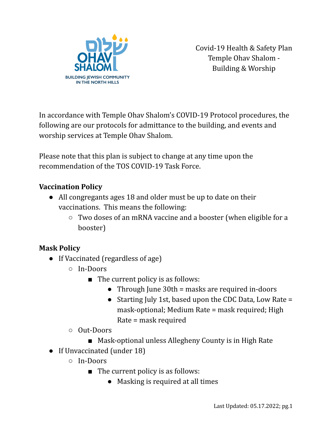

Covid-19 Health & Safety Plan Temple Ohav Shalom - Building & Worship

In accordance with Temple Ohav Shalom's COVID-19 Protocol procedures, the following are our protocols for admittance to the building, and events and worship services at Temple Ohav Shalom.

Please note that this plan is subject to change at any time upon the recommendation of the TOS COVID-19 Task Force.

### **Vaccination Policy**

- All congregants ages 18 and older must be up to date on their vaccinations. This means the following:
	- Two doses of an mRNA vaccine and a booster (when eligible for a booster)

# **Mask Policy**

- If Vaccinated (regardless of age)
	- In-Doors
		- The current policy is as follows:
			- Through June 30th = masks are required in-doors
			- Starting July 1st, based upon the CDC Data, Low Rate = mask-optional; Medium Rate = mask required; High Rate = mask required
	- Out-Doors
		- Mask-optional unless Allegheny County is in High Rate
- If Unvaccinated (under 18)
	- In-Doors
		- The current policy is as follows:
			- Masking is required at all times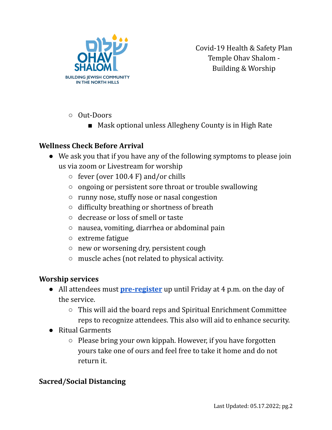

Covid-19 Health & Safety Plan Temple Ohav Shalom - Building & Worship

- Out-Doors
	- Mask optional unless Allegheny County is in High Rate

# **Wellness Check Before Arrival**

- We ask you that if you have any of the following symptoms to please join us via zoom or Livestream for worship
	- $\circ$  fever (over 100.4 F) and/or chills
	- ongoing or persistent sore throat or trouble swallowing
	- runny nose, stuffy nose or nasal congestion
	- difficulty breathing or shortness of breath
	- decrease or loss of smell or taste
	- nausea, vomiting, diarrhea or abdominal pain
	- extreme fatigue
	- new or worsening dry, persistent cough
	- muscle aches (not related to physical activity.

#### **Worship services**

- All attendees must **[pre-register](https://docs.google.com/forms/d/e/1FAIpQLScBUrHzEj7VSmPB18XAdaJf76ZlKUJyuQ0RTnNUj5TgbDrhcg/viewform)** up until Friday at 4 p.m. on the day of the service.
	- This will aid the board reps and Spiritual Enrichment Committee reps to recognize attendees. This also will aid to enhance security.
- Ritual Garments
	- Please bring your own kippah. However, if you have forgotten yours take one of ours and feel free to take it home and do not return it.

### **Sacred/Social Distancing**